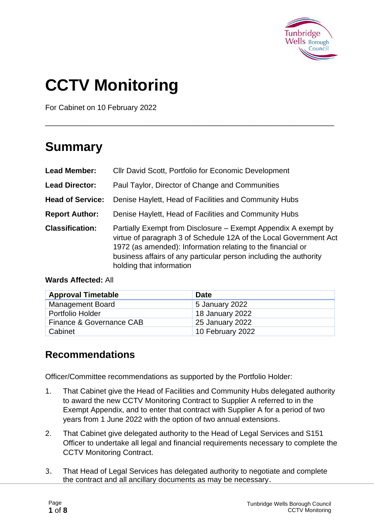

# **CCTV Monitoring**

For Cabinet on 10 February 2022

### **Summary**

| <b>Lead Member:</b>     | Cllr David Scott, Portfolio for Economic Development                                                                                                                                                                                                                                                |  |
|-------------------------|-----------------------------------------------------------------------------------------------------------------------------------------------------------------------------------------------------------------------------------------------------------------------------------------------------|--|
| <b>Lead Director:</b>   | Paul Taylor, Director of Change and Communities                                                                                                                                                                                                                                                     |  |
| <b>Head of Service:</b> | Denise Haylett, Head of Facilities and Community Hubs                                                                                                                                                                                                                                               |  |
| <b>Report Author:</b>   | Denise Haylett, Head of Facilities and Community Hubs                                                                                                                                                                                                                                               |  |
| <b>Classification:</b>  | Partially Exempt from Disclosure – Exempt Appendix A exempt by<br>virtue of paragraph 3 of Schedule 12A of the Local Government Act<br>1972 (as amended): Information relating to the financial or<br>business affairs of any particular person including the authority<br>holding that information |  |

\_\_\_\_\_\_\_\_\_\_\_\_\_\_\_\_\_\_\_\_\_\_\_\_\_\_\_\_\_\_\_\_\_\_\_\_\_\_\_\_\_\_\_\_\_\_\_\_\_\_\_\_\_\_\_\_\_\_\_\_\_\_\_\_\_\_\_\_\_

#### **Wards Affected:** All

| <b>Approval Timetable</b> | <b>Date</b>      |
|---------------------------|------------------|
| <b>Management Board</b>   | 5 January 2022   |
| Portfolio Holder          | 18 January 2022  |
| Finance & Governance CAB  | 25 January 2022  |
| Cabinet                   | 10 February 2022 |

#### **Recommendations**

Officer/Committee recommendations as supported by the Portfolio Holder:

- 1. That Cabinet give the Head of Facilities and Community Hubs delegated authority to award the new CCTV Monitoring Contract to Supplier A referred to in the Exempt Appendix, and to enter that contract with Supplier A for a period of two years from 1 June 2022 with the option of two annual extensions.
- 2. That Cabinet give delegated authority to the Head of Legal Services and S151 Officer to undertake all legal and financial requirements necessary to complete the CCTV Monitoring Contract.
- 3. That Head of Legal Services has delegated authority to negotiate and complete the contract and all ancillary documents as may be necessary.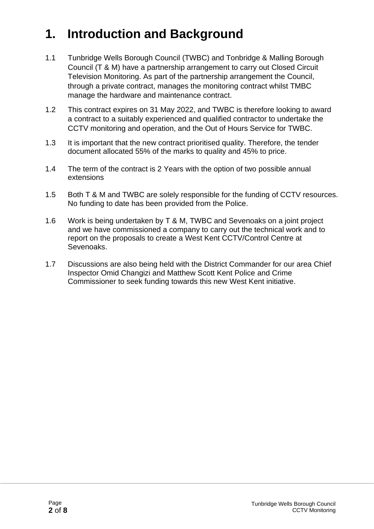## **1. Introduction and Background**

- 1.1 Tunbridge Wells Borough Council (TWBC) and Tonbridge & Malling Borough Council (T & M) have a partnership arrangement to carry out Closed Circuit Television Monitoring. As part of the partnership arrangement the Council, through a private contract, manages the monitoring contract whilst TMBC manage the hardware and maintenance contract.
- 1.2 This contract expires on 31 May 2022, and TWBC is therefore looking to award a contract to a suitably experienced and qualified contractor to undertake the CCTV monitoring and operation, and the Out of Hours Service for TWBC.
- 1.3 It is important that the new contract prioritised quality. Therefore, the tender document allocated 55% of the marks to quality and 45% to price.
- 1.4 The term of the contract is 2 Years with the option of two possible annual extensions
- 1.5 Both T & M and TWBC are solely responsible for the funding of CCTV resources. No funding to date has been provided from the Police.
- 1.6 Work is being undertaken by T & M, TWBC and Sevenoaks on a joint project and we have commissioned a company to carry out the technical work and to report on the proposals to create a West Kent CCTV/Control Centre at Sevenoaks.
- 1.7 Discussions are also being held with the District Commander for our area Chief Inspector Omid Changizi and Matthew Scott Kent Police and Crime Commissioner to seek funding towards this new West Kent initiative.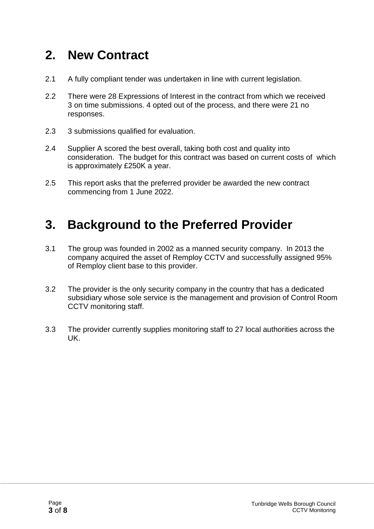### **2. New Contract**

- 2.1 A fully compliant tender was undertaken in line with current legislation.
- 2.2 There were 28 Expressions of Interest in the contract from which we received 3 on time submissions. 4 opted out of the process, and there were 21 no responses.
- 2.3 3 submissions qualified for evaluation.
- 2.4 Supplier A scored the best overall, taking both cost and quality into consideration. The budget for this contract was based on current costs of which is approximately £250K a year.
- 2.5 This report asks that the preferred provider be awarded the new contract commencing from 1 June 2022.

### **3. Background to the Preferred Provider**

- 3.1 The group was founded in 2002 as a manned security company. In 2013 the company acquired the asset of Remploy CCTV and successfully assigned 95% of Remploy client base to this provider.
- 3.2 The provider is the only security company in the country that has a dedicated subsidiary whose sole service is the management and provision of Control Room CCTV monitoring staff.
- 3.3 The provider currently supplies monitoring staff to 27 local authorities across the UK.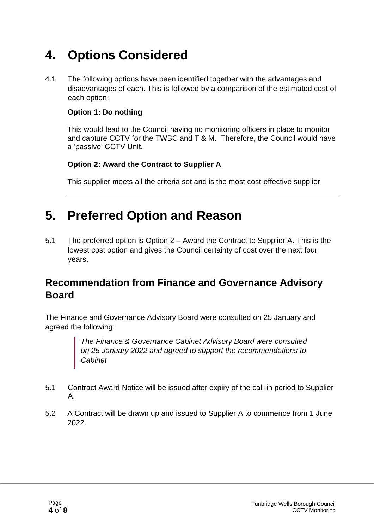### **4. Options Considered**

4.1 The following options have been identified together with the advantages and disadvantages of each. This is followed by a comparison of the estimated cost of each option:

#### **Option 1: Do nothing**

This would lead to the Council having no monitoring officers in place to monitor and capture CCTV for the TWBC and T & M. Therefore, the Council would have a 'passive' CCTV Unit.

#### **Option 2: Award the Contract to Supplier A**

This supplier meets all the criteria set and is the most cost-effective supplier.

### **5. Preferred Option and Reason**

5.1 The preferred option is Option 2 – Award the Contract to Supplier A. This is the lowest cost option and gives the Council certainty of cost over the next four years,

#### **Recommendation from Finance and Governance Advisory Board**

The Finance and Governance Advisory Board were consulted on 25 January and agreed the following:

> *The Finance & Governance Cabinet Advisory Board were consulted on 25 January 2022 and agreed to support the recommendations to Cabinet*

- 5.1 Contract Award Notice will be issued after expiry of the call-in period to Supplier A.
- 5.2 A Contract will be drawn up and issued to Supplier A to commence from 1 June 2022.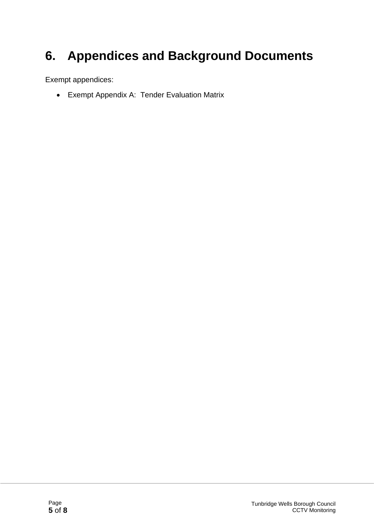## **6. Appendices and Background Documents**

Exempt appendices:

• Exempt Appendix A: Tender Evaluation Matrix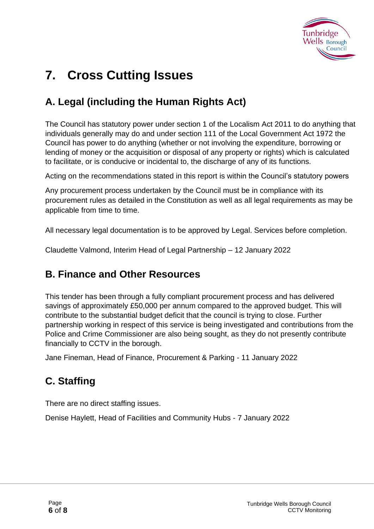

## **7. Cross Cutting Issues**

### **A. Legal (including the Human Rights Act)**

The Council has statutory power under section 1 of the Localism Act 2011 to do anything that individuals generally may do and under section 111 of the Local Government Act 1972 the Council has power to do anything (whether or not involving the expenditure, borrowing or lending of money or the acquisition or disposal of any property or rights) which is calculated to facilitate, or is conducive or incidental to, the discharge of any of its functions.

Acting on the recommendations stated in this report is within the Council's statutory powers

Any procurement process undertaken by the Council must be in compliance with its procurement rules as detailed in the Constitution as well as all legal requirements as may be applicable from time to time.

All necessary legal documentation is to be approved by Legal. Services before completion.

Claudette Valmond, Interim Head of Legal Partnership – 12 January 2022

#### **B. Finance and Other Resources**

This tender has been through a fully compliant procurement process and has delivered savings of approximately £50,000 per annum compared to the approved budget. This will contribute to the substantial budget deficit that the council is trying to close. Further partnership working in respect of this service is being investigated and contributions from the Police and Crime Commissioner are also being sought, as they do not presently contribute financially to CCTV in the borough.

Jane Fineman, Head of Finance, Procurement & Parking - 11 January 2022

### **C. Staffing**

There are no direct staffing issues.

Denise Haylett, Head of Facilities and Community Hubs - 7 January 2022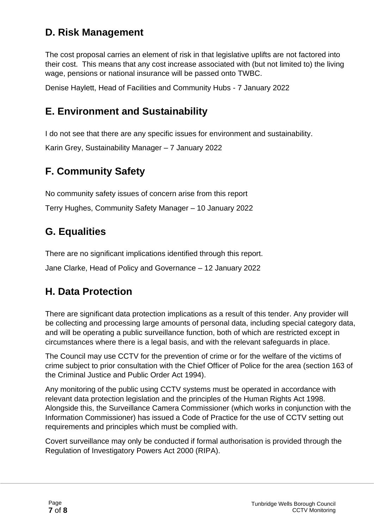### **D. Risk Management**

The cost proposal carries an element of risk in that legislative uplifts are not factored into their cost. This means that any cost increase associated with (but not limited to) the living wage, pensions or national insurance will be passed onto TWBC.

Denise Haylett, Head of Facilities and Community Hubs - 7 January 2022

### **E. Environment and Sustainability**

I do not see that there are any specific issues for environment and sustainability.

Karin Grey, Sustainability Manager – 7 January 2022

### **F. Community Safety**

No community safety issues of concern arise from this report

Terry Hughes, Community Safety Manager – 10 January 2022

### **G. Equalities**

There are no significant implications identified through this report.

Jane Clarke, Head of Policy and Governance – 12 January 2022

### **H. Data Protection**

There are significant data protection implications as a result of this tender. Any provider will be collecting and processing large amounts of personal data, including special category data, and will be operating a public surveillance function, both of which are restricted except in circumstances where there is a legal basis, and with the relevant safeguards in place.

The Council may use CCTV for the prevention of crime or for the welfare of the victims of crime subject to prior consultation with the Chief Officer of Police for the area (section 163 of the Criminal Justice and Public Order Act 1994).

Any monitoring of the public using CCTV systems must be operated in accordance with relevant data protection legislation and the principles of the Human Rights Act 1998. Alongside this, the Surveillance Camera Commissioner (which works in conjunction with the Information Commissioner) has issued a Code of Practice for the use of CCTV setting out requirements and principles which must be complied with.

Covert surveillance may only be conducted if formal authorisation is provided through the Regulation of Investigatory Powers Act 2000 (RIPA).